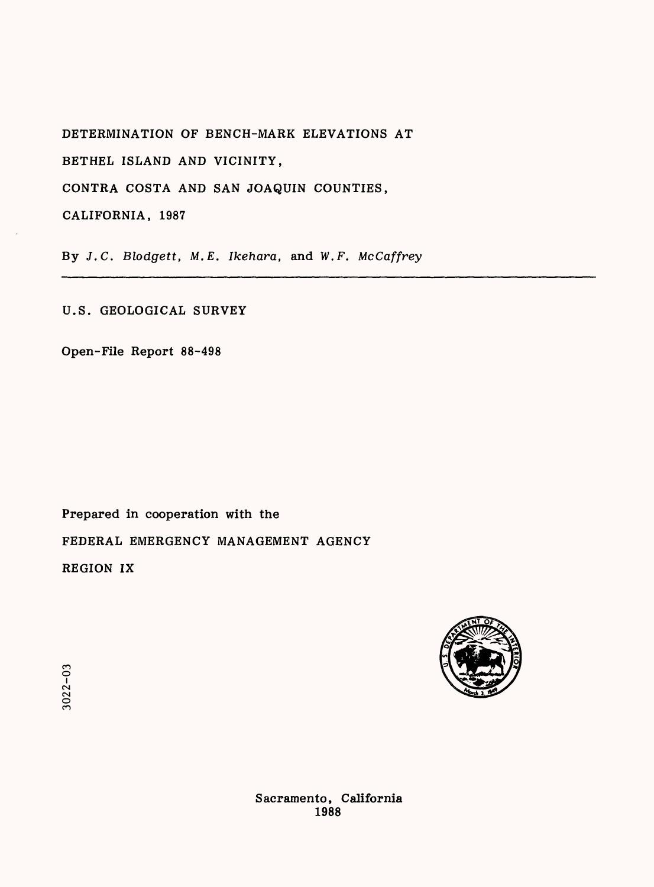DETERMINATION OF BENCH-MARK ELEVATIONS AT

BETHEL ISLAND AND VICINITY,

CONTRA COSTA AND SAN JOAQUIN COUNTIES,

CALIFORNIA, 1987

By J.C. *Blodgett, M.E. Ikehara,* and W.F. *McCaffrey*

U.S. GEOLOGICAL SURVEY

Open-File Report 88-498

Prepared in cooperation with the FEDERAL EMERGENCY MANAGEMENT AGENCY REGION IX



**3022-03** 

Sacramento, California 1988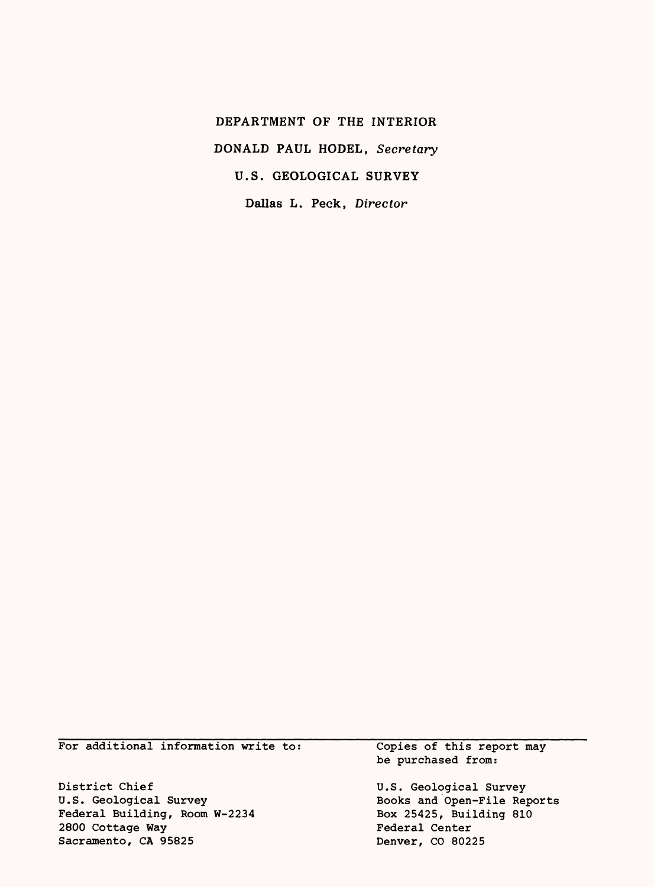DEPARTMENT OF THE INTERIOR DONALD PAUL HODEL, *Secretary* U.S. GEOLOGICAL SURVEY Dallas L. Peck, *Director*

For additional information write to:

District Chief U.S. Geological Survey Federal Building, Room W-2234 2800 Cottage Way Sacramento, CA 95825

Copies of this report may be purchased from:

U.S. Geological Survey Books and Open-File Reports Box 25425, Building 810 Federal Center Denver, CO 80225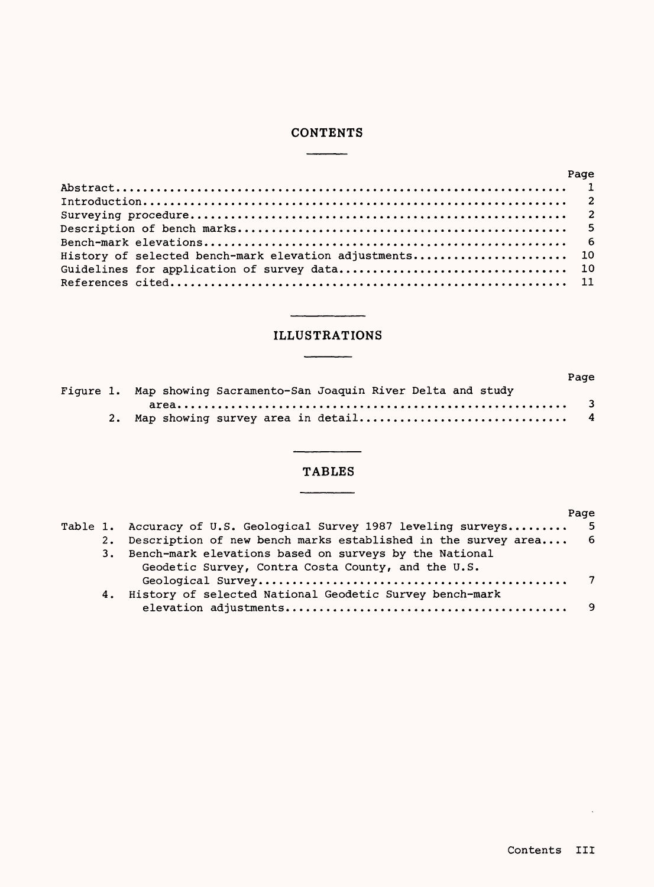# **CONTENTS**

|                                                         | Page |
|---------------------------------------------------------|------|
|                                                         |      |
|                                                         |      |
|                                                         |      |
|                                                         |      |
|                                                         |      |
| History of selected bench-mark elevation adjustments 10 |      |
|                                                         |      |
|                                                         |      |

## ILLUSTRATIONS

\_\_\_\_\_\_

|  |                                                                    | Page |
|--|--------------------------------------------------------------------|------|
|  | Fiqure 1. Map showing Sacramento-San Joaquin River Delta and study |      |
|  |                                                                    |      |
|  |                                                                    |      |

# TABLES

 $\overline{a}$ 

|  |                                                                     | Page |
|--|---------------------------------------------------------------------|------|
|  | Table 1. Accuracy of U.S. Geological Survey 1987 leveling surveys 5 |      |
|  | 2. Description of new bench marks established in the survey area 6  |      |
|  | 3. Bench-mark elevations based on surveys by the National           |      |
|  | Geodetic Survey, Contra Costa County, and the U.S.                  |      |
|  |                                                                     |      |
|  | 4. History of selected National Geodetic Survey bench-mark          |      |
|  |                                                                     | -9   |
|  |                                                                     |      |

 $\sim 10$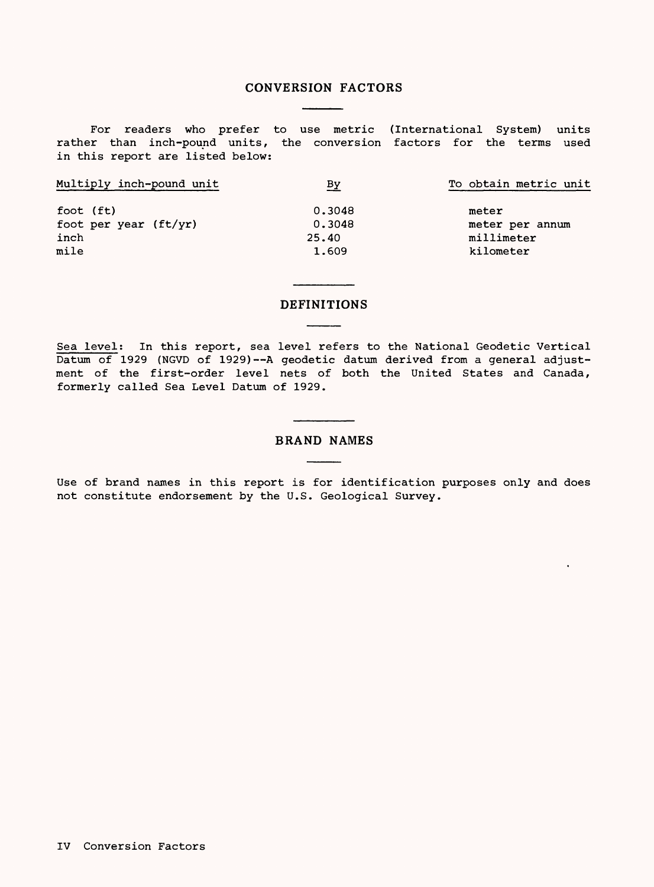#### CONVERSION FACTORS

For readers who prefer to use metric (International System) units rather than inch-pound units, the conversion factors for the terms used in this report are listed below:

| Multiply inch-pound unit | <u>ву</u> | To obtain metric unit |
|--------------------------|-----------|-----------------------|
| foot (ft)                | 0.3048    | meter                 |
| foot per year (ft/yr)    | 0.3048    | meter per annum       |
| inch                     | 25.40     | millimeter            |
| mile                     | 1.609     | kilometer             |

#### DEFINITIONS

Sea level: In this report, sea level refers to the National Geodetic Vertical  $\overline{\text{Datum of}}$  1929 (NGVD of 1929) -- A geodetic datum derived from a general adjustment of the first-order level nets of both the United States and Canada, formerly called Sea Level Datum of 1929.

#### BRAND NAMES

Use of brand names in this report is for identification purposes only and does not constitute endorsement by the U.S. Geological Survey.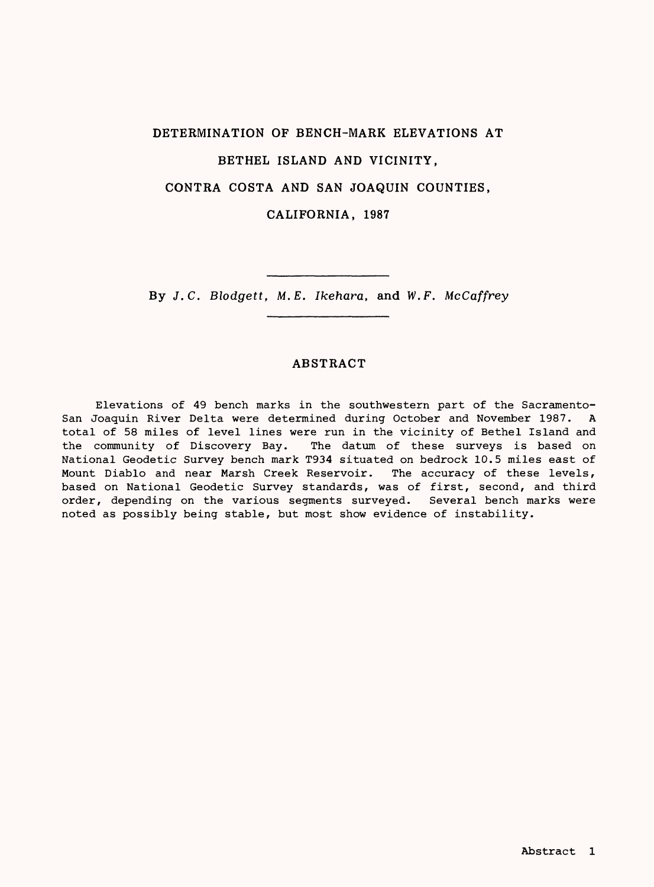# DETERMINATION OF BENCH-MARK ELEVATIONS AT BETHEL ISLAND AND VICINITY, CONTRA COSTA AND SAN JOAQUIN COUNTIES, CALIFORNIA, 1987

By *J.C. Blodgett, M.E. Ikehara,* and W.F. *McCaffrey*

## ABSTRACT

Elevations of 49 bench marks in the southwestern part of the Sacramento-San Joaquin River Delta were determined during October and November 1987. A total of 58 miles of level lines were run in the vicinity of Bethel Island and the community of Discovery Bay. The datum of these surveys is based on National Geodetic Survey bench mark T934 situated on bedrock 10.5 miles east of Mount Diablo and near Marsh Creek Reservoir. The accuracy of these levels, based on National Geodetic Survey standards, was of first, second, and third order, depending on the various segments surveyed. Several bench marks were noted as possibly being stable, but most show evidence of instability.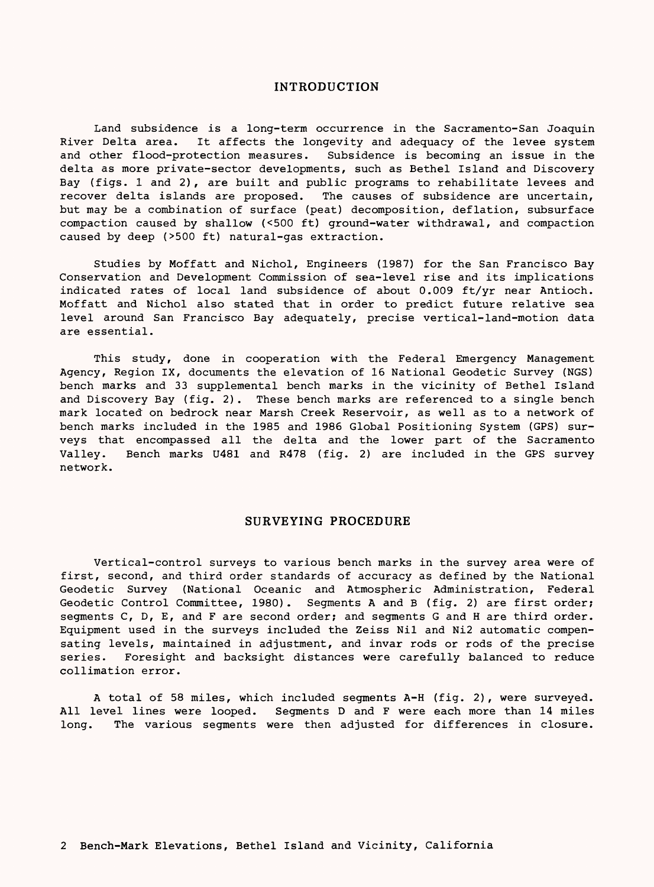#### INTRODUCTION

Land subsidence is a long-term occurrence in the Sacramento-San Joaquin River Delta area. It affects the longevity and adequacy of the levee system and other flood-protection measures. Subsidence is becoming an issue in the delta as more private-sector developments, such as Bethel Island and Discovery Bay (figs. I and 2) , are built and public programs to rehabilitate levees and recover delta islands are proposed. The causes of subsidence are uncertain, but may be a combination of surface (peat) decomposition, deflation, subsurface compaction caused by shallow (<500 ft) ground-water withdrawal, and compaction caused by deep (>500 ft) natural-gas extraction.

Studies by Moffatt and Nichol, Engineers (1987) for the San Francisco Bay Conservation and Development Commission of sea-level rise and its implications indicated rates of local land subsidence of about 0.009 ft/yr near Antioch. Moffatt and Nichol also stated that in order to predict future relative sea level around San Francisco Bay adequately, precise vertical-land-motion data are essential.

This study, done in cooperation with the Federal Emergency Management Agency, Region IX, documents the elevation of 16 National Geodetic Survey (NGS) bench marks and 33 supplemental bench marks in the vicinity of Bethel Island and Discovery Bay (fig. 2). These bench marks are referenced to a single bench mark located on bedrock near Marsh Creek Reservoir, as well as to a network of bench marks included in the 1985 and 1986 Global Positioning System (GPS) surveys that encompassed all the delta and the lower part of the Sacramento Valley. Bench marks U481 and R478 (fig. 2) are included in the GPS survey network.

#### SURVEYING PROCEDURE

Vertical-control surveys to various bench marks in the survey area were of first, second, and third order standards of accuracy as defined by the National Geodetic Survey (National Oceanic and Atmospheric Administration, Federal Geodetic Control Committee, 1980). Segments A and B (fig. 2) are first order; segments C, D, E, and F are second order; and segments G and H are third order. Equipment used in the surveys included the Zeiss Nil and Ni2 automatic compensating levels, maintained in adjustment, and invar rods or rods of the precise series. Foresight and backsight distances were carefully balanced to reduce collimation error.

A total of 58 miles, which included segments A-H (fig. 2), were surveyed. All level lines were looped. Segments D and F were each more than 14 miles long. The various segments were then adjusted for differences in closure.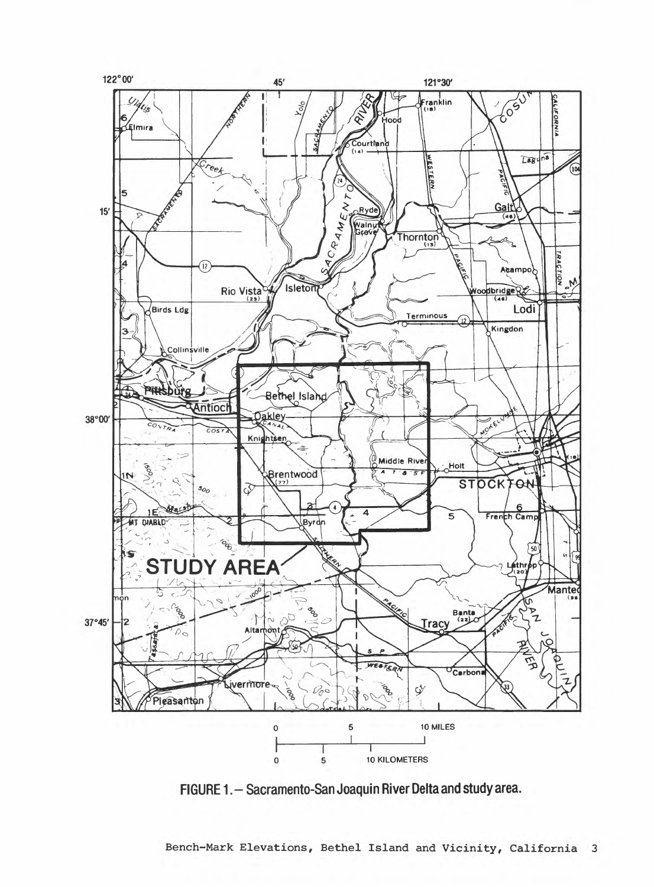

FIGURE 1. - Sacramento-San Joaquin River Delta and study area.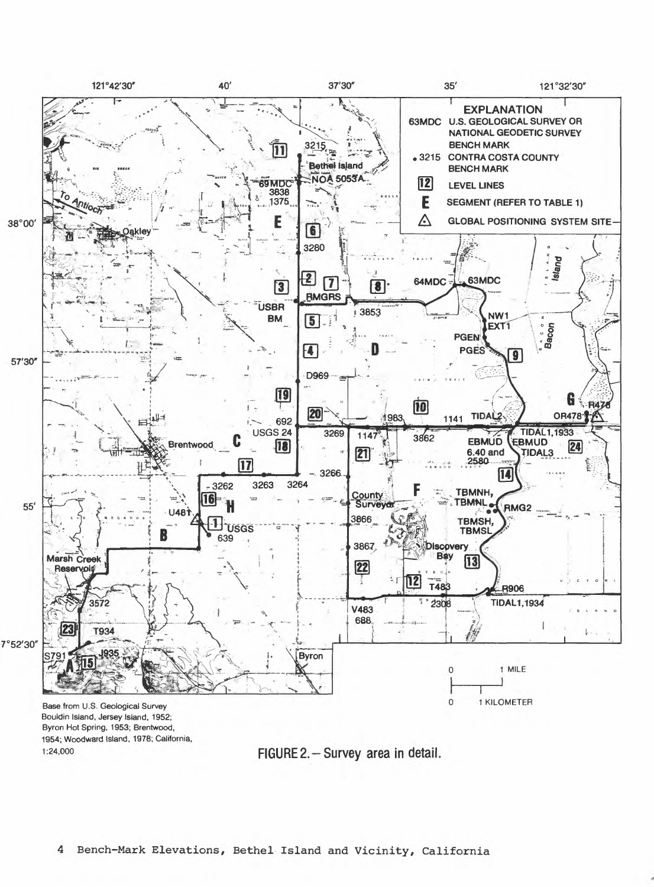

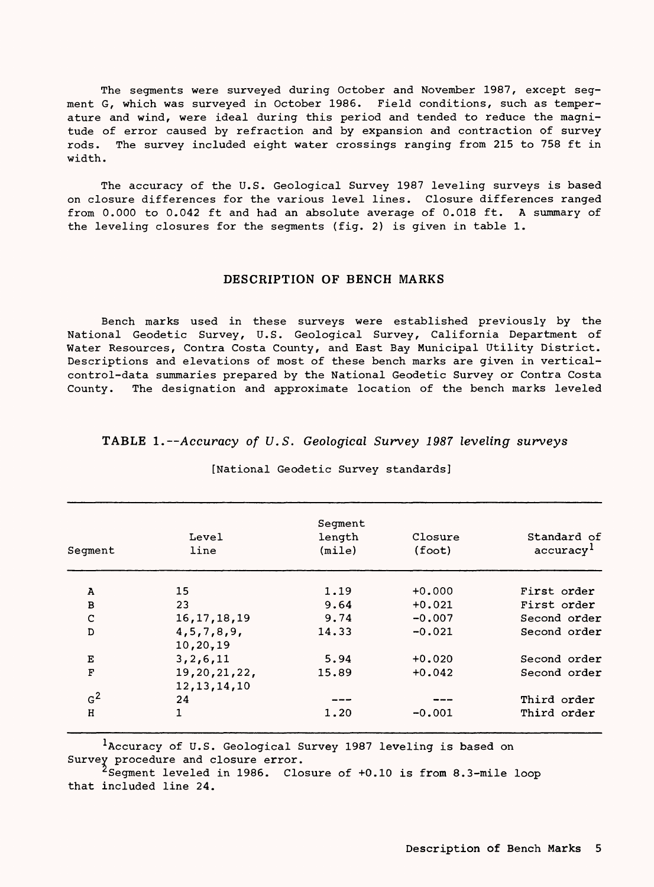The segments were surveyed during October and November 1987, except segment G, which was surveyed in October 1986. Field conditions, such as temperature and wind, were ideal during this period and tended to reduce the magnitude of error caused by refraction and by expansion and contraction of survey rods. The survey included eight water crossings ranging from 215 to 758 ft in width.

The accuracy of the U.S. Geological Survey 1987 leveling surveys is based on closure differences for the various level lines. Closure differences ranged from 0.000 to 0.042 ft and had an absolute average of 0.018 ft. A summary of the leveling closures for the segments (fig. 2) is given in table 1.

#### DESCRIPTION OF BENCH MARKS

Bench marks used in these surveys were established previously by the National Geodetic Survey, U.S. Geological Survey, California Department of Water Resources, Contra Costa County, and East Bay Municipal Utility District. Descriptions and elevations of most of these bench marks are given in verticalcontrol-data summaries prepared by the National Geodetic Survey or Contra Costa County. The designation and approximate location of the bench marks leveled

#### TABLE 1.--Accuracy of U.S. Geological Survey 1987 leveling surveys

| Seqment        | Level<br>line                  | Segment<br>length<br>(mile) | Closure<br>(foot) | Standard of<br>accuracy <sup>1</sup> |  |
|----------------|--------------------------------|-----------------------------|-------------------|--------------------------------------|--|
| A              | 15                             | 1.19                        | $+0.000$          | First order                          |  |
| B              | 23                             | 9.64                        | $+0.021$          | First order                          |  |
| C              | 16, 17, 18, 19                 | 9.74                        | $-0.007$          | Second order                         |  |
| D              | 4, 5, 7, 8, 9,<br>10,20,19     | 14.33                       | $-0.021$          | Second order                         |  |
| Е              | 3, 2, 6, 11                    | 5.94                        | $+0.020$          | Second order                         |  |
| $\mathbf{F}$   | 19,20,21,22,<br>12, 13, 14, 10 | 15.89                       | $+0.042$          | Second order                         |  |
| G <sup>2</sup> | 24                             |                             |                   | Third order                          |  |
| H              | 1                              | 1.20                        | $-0.001$          | Third order                          |  |

#### [National Geodetic Survey standards]

Accuracy of U.S. Geological Survey 1987 leveling is based on Survey procedure and closure error.

^Segment leveled in 1986. Closure of +0.10 is from 8.3-mile loop that included line 24.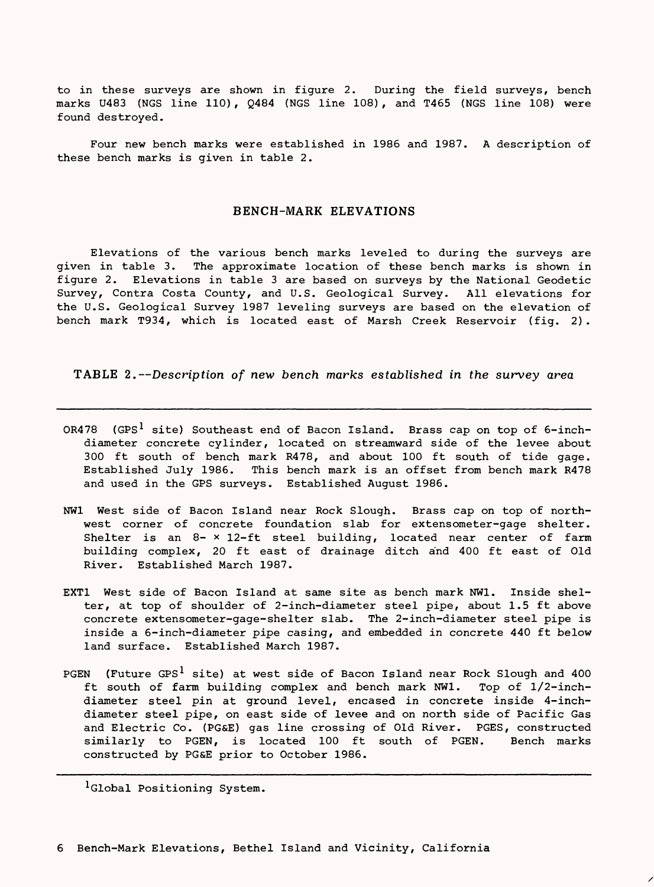to in these surveys are shown in figure 2. During the field surveys, bench marks U483 (NGS line 110), Q484 (NGS line 108), and T465 (NGS line 108) were found destroyed.

Four new bench marks were established in 1986 and 1987. A description of these bench marks is given in table 2.

#### BENCH-MARK ELEVATIONS

Elevations of the various bench marks leveled to during the surveys are given in table 3. The approximate location of these bench marks is shown in figure 2. Elevations in table 3 are based on surveys by the National Geodetic Survey, Contra Costa County, and U.S. Geological Survey. All elevations for the U.S. Geological Survey 1987 leveling surveys are based on the elevation of bench mark T934, which is located east of Marsh Creek Reservoir (fig. 2) .

TABLE 2.--Description of new bench marks established in the survey area

- OR478 (GPS<sup>1</sup> site) Southeast end of Bacon Island. Brass cap on top of 6-inchdiameter concrete cylinder, located on streamward side of the levee about 300 ft south of bench mark R478, and about 100 ft south of tide gage. Established July 1986. This bench mark is an offset from bench mark R478 and used in the GPS surveys. Established August 1986.
- NW1 West side of Bacon Island near Rock Slough. Brass cap on top of northwest corner of concrete foundation slab for extensometer-gage shelter. Shelter is an 8- x 12-ft steel building, located near center of farm building complex, 20 ft east of drainage ditch and 400 ft east of Old River. Established March 1987.
- EXT1 West side of Bacon Island at same site as bench mark NW1. Inside shelter, at top of shoulder of 2-inch-diameter steel pipe, about 1.5 ft above concrete extensometer-gage-shelter slab. The 2-inch-diameter steel pipe is inside a 6-inch-diameter pipe casing, and embedded in concrete 440 ft below land surface. Established March 1987.
- PGEN (Future GPS<sup>1</sup> site) at west side of Bacon Island near Rock Slough and 400 ft south of farm building complex and bench mark NW1. Top of 1/2-inchdiameter steel pin at ground level, encased in concrete inside 4-inchdiameter steel pipe, on east side of levee and on north side of Pacific Gas and Electric Co. (PG&E) gas line crossing of Old River. PGES, constructed similarly to PGEN, is located 100 ft south of PGEN. Bench marks constructed by PG&E prior to October 1986.

<sup>1</sup>Global Positioning System.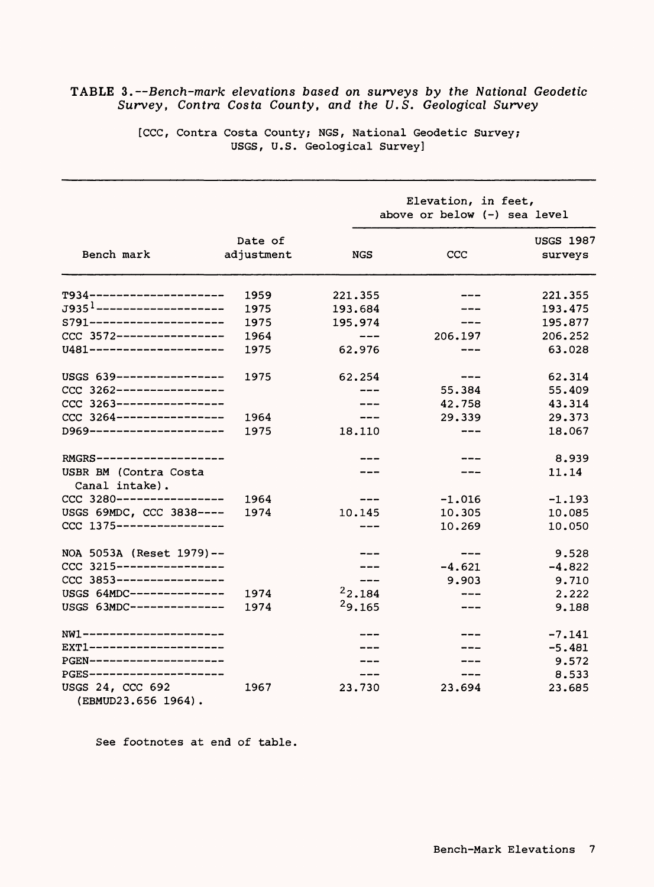|                                         |            | Elevation, in feet,<br>above or below (-) sea level                                                                       |          |                  |  |  |
|-----------------------------------------|------------|---------------------------------------------------------------------------------------------------------------------------|----------|------------------|--|--|
|                                         | Date of    |                                                                                                                           |          | <b>USGS 1987</b> |  |  |
| Bench mark                              | adjustment | NGS                                                                                                                       | ccc      | surveys          |  |  |
| T934---------------------               | 1959       | 221.355                                                                                                                   |          | 221.355          |  |  |
| J9351--------------------               | 1975       | 193.684                                                                                                                   |          | 193.475          |  |  |
| S791---------------------               | 1975       | 195.974                                                                                                                   |          | 195.877          |  |  |
| CCC 3572-----------------               | 1964       | $\frac{1}{2} \left( \frac{1}{2} \right) \left( \frac{1}{2} \right) \left( \frac{1}{2} \right) \left( \frac{1}{2} \right)$ | 206.197  | 206.252          |  |  |
| U481---------------------               | 1975       | 62.976                                                                                                                    |          | 63.028           |  |  |
| USGS 639-----------------               | 1975       | 62.254                                                                                                                    |          | 62.314           |  |  |
| CCC 3262-----------------               |            |                                                                                                                           | 55.384   | 55.409           |  |  |
| $CCC 3263---------------$               |            |                                                                                                                           | 42.758   | 43.314           |  |  |
| $CCC 3264$ ----------------             | 1964       | ---                                                                                                                       | 29.339   | 29.373           |  |  |
| D969---------------------               | 1975       | 18.110                                                                                                                    | ---      | 18.067           |  |  |
| RMGRS---------------                    |            |                                                                                                                           |          | 8.939            |  |  |
| USBR BM (Contra Costa<br>Canal intake). |            |                                                                                                                           |          | 11.14            |  |  |
| CCC 3280--------                        | 1964       |                                                                                                                           | $-1.016$ | $-1.193$         |  |  |
| USGS 69MDC, CCC 3838 ----               | 1974       | 10.145                                                                                                                    | 10.305   | 10.085           |  |  |
| $CCC$ 1375-----------------             |            | ----                                                                                                                      | 10.269   | 10.050           |  |  |
| NOA 5053A (Reset 1979) --               |            |                                                                                                                           |          | 9.528            |  |  |
| CCC 3215-----------------               |            |                                                                                                                           | $-4.621$ | $-4.822$         |  |  |
| CCC 3853-----------------               |            |                                                                                                                           | 9.903    | 9.710            |  |  |
| USGS 64MDC--------------                | 1974       | 22.184                                                                                                                    |          | 2.222            |  |  |
| USGS 63MDC--------------                | 1974       | 29.165                                                                                                                    |          | 9.188            |  |  |
| $NW1$ ---------------------             |            |                                                                                                                           |          | $-7.141$         |  |  |
| EXT1---------------------               |            |                                                                                                                           |          | $-5.481$         |  |  |
| PGEN---------------------               |            |                                                                                                                           |          | 9.572            |  |  |
| PGES----------------------              |            |                                                                                                                           |          | 8.533            |  |  |
| USGS 24, CCC 692<br>(EBMUD23.656 1964). | 1967       | 23.730                                                                                                                    | 23.694   | 23.685           |  |  |

# TABLE 3.--Bench-mark elevations based on surveys by the National Geodetic *Survey, Contra Costa County, and the U.S. Geological Survey*

[CCC, Contra Costa County; NGS, National Geodetic Survey; USGS, U.S. Geological Survey]

See footnotes at end of table.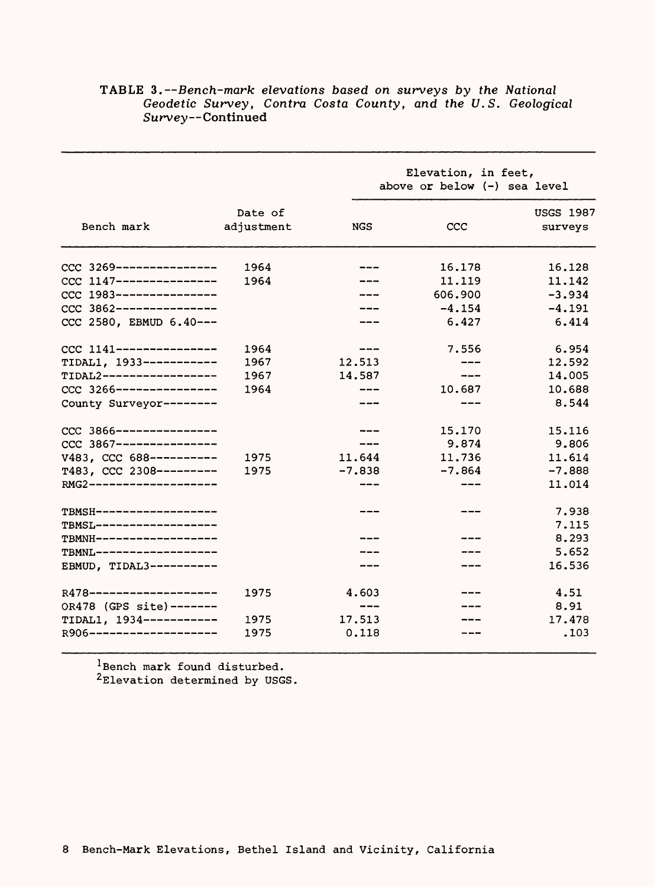|                                                      |                       | Elevation, in feet,<br>above or below $(-)$ sea level |          |                             |  |  |
|------------------------------------------------------|-----------------------|-------------------------------------------------------|----------|-----------------------------|--|--|
| Bench mark                                           | Date of<br>adjustment | <b>NGS</b>                                            | CCC      | <b>USGS 1987</b><br>surveys |  |  |
| CCC 3269----------------                             | 1964                  |                                                       | 16.178   | 16.128                      |  |  |
| CCC 1147----------------                             | 1964                  |                                                       | 11.119   | 11.142                      |  |  |
| CCC 1983----------------                             |                       |                                                       | 606.900  | $-3.934$                    |  |  |
| CCC 3862----------------                             |                       |                                                       | $-4.154$ | $-4.191$                    |  |  |
| CCC 2580, EBMUD 6.40 ---                             |                       |                                                       | 6.427    | 6.414                       |  |  |
| $CCC$ 1141----------------                           | 1964                  |                                                       | 7.556    | 6.954                       |  |  |
| TIDAL1, 1933------------                             | 1967                  | 12.513                                                |          | 12.592                      |  |  |
| TIDAL2------------------                             | 1967                  | 14.587                                                | ---      | 14.005                      |  |  |
| CCC 3266----------------                             | 1964                  |                                                       | 10.687   | 10.688                      |  |  |
| County Surveyor--------                              |                       |                                                       |          | 8.544                       |  |  |
| CCC 3866----------------                             |                       |                                                       | 15.170   | 15.116                      |  |  |
| CCC 3867----------------                             |                       |                                                       | 9.874    | 9.806                       |  |  |
| V483, CCC 688----------                              | 1975                  | 11.644                                                | 11.736   | 11.614                      |  |  |
| T483, CCC 2308---------                              | 1975                  | $-7.838$                                              | $-7.864$ | $-7.888$                    |  |  |
| RMG2--------------------                             |                       |                                                       |          | 11.014                      |  |  |
| TBMSH-------------------<br>TBMSL------------------- |                       |                                                       |          | 7.938<br>7.115              |  |  |
| TBMNH-------------------                             |                       |                                                       |          | 8.293                       |  |  |
| TBMNL-------------------                             |                       |                                                       |          | 5.652                       |  |  |
| EBMUD, TIDAL3----------                              |                       |                                                       |          | 16.536                      |  |  |
| R478--------------------                             | 1975                  | 4.603                                                 |          | 4.51                        |  |  |
| OR478 (GPS site) -------                             |                       | ---                                                   |          | 8.91                        |  |  |
| TIDAL1, 1934-----------                              | 1975                  | 17.513                                                |          | 17.478                      |  |  |
| R906--------------------                             | 1975                  | 0.118                                                 |          | .103                        |  |  |

## TABLE 3.--Bench-mark elevations based on surveys by the National *Geodetic Survey, Contra Costa County, and the U.S. Geological*  Survey--Continued

<sup>1</sup> Bench mark found disturbed. 2 Elevation determined by USGS.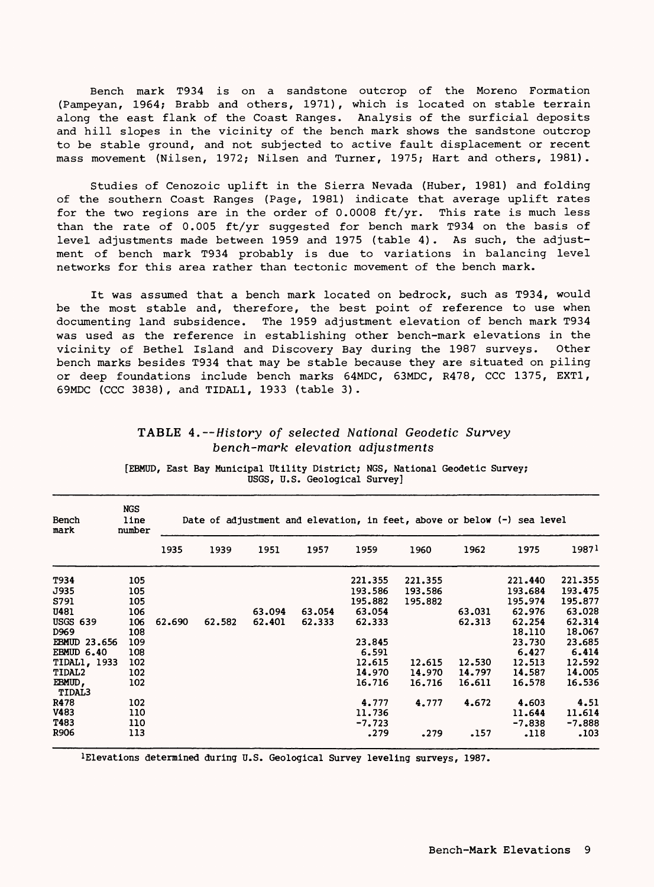Bench mark T934 is on a sandstone outcrop of the Moreno Formation (Pampeyan, 1964; Brabb and others, 1971), which is located on stable terrain along the east flank of the Coast Ranges. Analysis of the surficial deposits along the east flank of the Coast Ranges. and hill slopes in the vicinity of the bench mark shows the sandstone outcrop to be stable ground, and not subjected to active fault displacement or recent mass movement (Nilsen, 1972; Nilsen and Turner, 1975; Hart and others, 1981).

Studies of Cenozoic uplift in the Sierra Nevada (Huber, 1981) and folding of the southern Coast Ranges (Page, 1981) indicate that average uplift rates for the two regions are in the order of 0.0008 ft/yr. This rate is much less than the rate of 0.005 ft/yr suggested for bench mark T934 on the basis of level adjustments made between 1959 and 1975 (table 4) . As such, the adjustment of bench mark T934 probably is due to variations in balancing level networks for this area rather than tectonic movement of the bench mark.

It was assumed that a bench mark located on bedrock, such as T934, would be the most stable and, therefore, the best point of reference to use when documenting land subsidence. The 1959 adjustment elevation of bench mark T934 was used as the reference in establishing other bench-mark elevations in the vicinity of Bethel Island and Discovery Bay during the 1987 surveys. Other bench marks besides T934 that may be stable because they are situated on piling or deep foundations include bench marks 64MDC, 63MDC, R478, CCC 1375, EXT1, 69MDC (CCC 3838), and TIDAL1, 1933 (table 3).

| Bench<br>mark                    | <b>NGS</b><br>line<br>number |        |        |        |        |                             | Date of adjustment and elevation, in feet, above or below $(-)$ sea level |                  |                             |                             |
|----------------------------------|------------------------------|--------|--------|--------|--------|-----------------------------|---------------------------------------------------------------------------|------------------|-----------------------------|-----------------------------|
|                                  |                              | 1935   | 1939   | 1951   | 1957   | 1959                        | 1960                                                                      | 1962             | 1975                        | 19871                       |
| T934<br>J935                     | 105<br>105                   |        |        |        |        | 221.355<br>193.586          | 221.355<br>193.586                                                        |                  | 221.440<br>193.684          | 221.355<br>193.475          |
| S791<br>U481<br><b>USGS 639</b>  | 105<br>106                   |        |        | 63.094 | 63.054 | 195.882<br>63.054           | 195.882                                                                   | 63.031           | 195.974<br>62,976           | 195.877<br>63.028<br>62.314 |
| D <sub>969</sub><br>EBMUD 23.656 | 106<br>108<br>109            | 62.690 | 62.582 | 62.401 | 62.333 | 62.333<br>23.845            |                                                                           | 62.313           | 62.254<br>18.110<br>23.730  | 18.067<br>23.685            |
| EBMUD 6.40<br>TIDAL1, 1933       | 108<br>102                   |        |        |        |        | 6.591<br>12.615             | 12.615                                                                    | 12.530           | 6.427<br>12.513             | 6.414<br>12.592             |
| TIDAL2<br>EBMUD,<br>TIDAL3       | 102<br>102                   |        |        |        |        | 14.970<br>16.716            | 14.970<br>16.716                                                          | 14.797<br>16.611 | 14.587<br>16.578            | 14.005<br>16.536            |
| R478<br>V483<br>T483             | 102<br>110<br>110            |        |        |        |        | 4.777<br>11.736<br>$-7.723$ | 4.777                                                                     | 4.672            | 4.603<br>11.644<br>$-7.838$ | 4.51<br>11.614<br>$-7.888$  |
| R906                             | 113                          |        |        |        |        | .279                        | .279                                                                      | .157             | .118                        | .103                        |

## **TABLE 4.**  $--$  History of selected National Geodetic Survey **bench-mark elevation adjustments**

**[EBMUD, East Bay Municipal Utility District; NGS, National Geodetic Survey; USGS, U.S. Geological Survey]**

**^Elevations determined during U.S. Geological Survey leveling surveys, 1987.**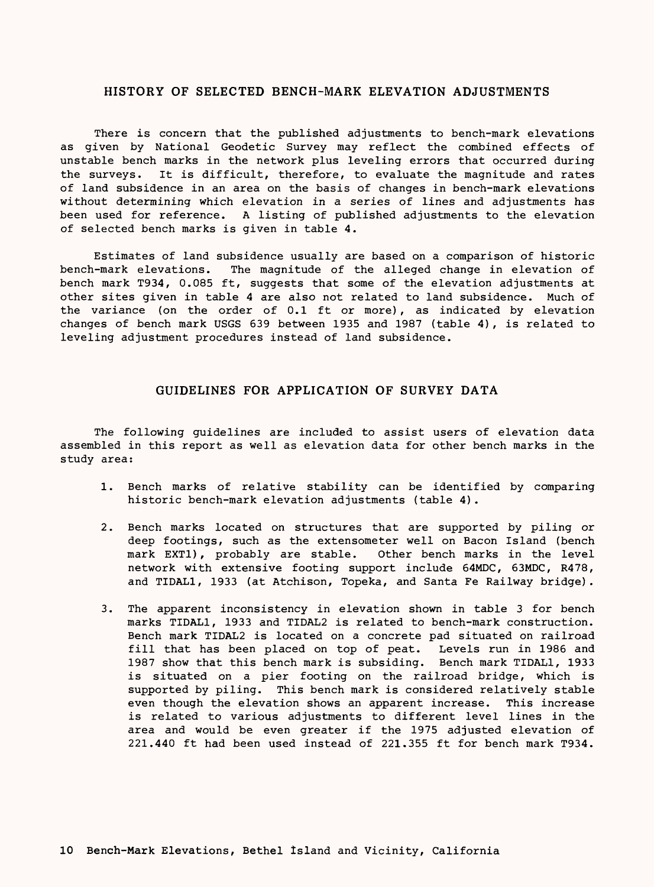#### HISTORY OF SELECTED BENCH-MARK ELEVATION ADJUSTMENTS

There is concern that the published adjustments to bench-mark elevations as given by National Geodetic Survey may reflect the combined effects of unstable bench marks in the network plus leveling errors that occurred during the surveys. It is difficult, therefore, to evaluate the magnitude and rates of land subsidence in an area on the basis of changes in bench-mark elevations without determining which elevation in a series of lines and adjustments has been used for reference. A listing of published adjustments to the elevation of selected bench marks is given in table 4.

Estimates of land subsidence usually are based on a comparison of historic bench-mark elevations. The magnitude of the alleged change in elevation of bench mark T934, 0.085 ft, suggests that some of the elevation adjustments at other sites given in table 4 are also not related to land subsidence. Much of the variance (on the order of 0.1 ft or more), as indicated by elevation changes of bench mark USGS 639 between 1935 and 1987 (table 4), is related to leveling adjustment procedures instead of land subsidence.

#### GUIDELINES FOR APPLICATION OF SURVEY DATA

The following guidelines are included to assist users of elevation data assembled in this report as well as elevation data for other bench marks in the study area:

- 1. Bench marks of relative stability can be identified by comparing historic bench-mark elevation adjustments (table 4).
- 2. Bench marks located on structures that are supported by piling or deep footings, such as the extensometer well on Bacon Island (bench mark EXT1), probably are stable. Other bench marks in the level network with extensive footing support include 64MDC, 63MDC, R478, and TIDAL1, 1933 (at Atchison, Topeka, and Santa Fe Railway bridge).
- 3. The apparent inconsistency in elevation shown in table 3 for bench marks TIDAL1, 1933 and TIDAL2 is related to bench-mark construction. Bench mark TIDAL2 is located on a concrete pad situated on railroad fill that has been placed on top of peat. Levels run in 1986 and 1987 show that this bench mark is subsiding. Bench mark TIDAL1, 1933 is situated on a pier footing on the railroad bridge, which is supported by piling. This bench mark is considered relatively stable even though the elevation shows an apparent increase. This increase is related to various adjustments to different level lines in the area and would be even greater if the 1975 adjusted elevation of 221.440 ft had been used instead of 221.355 ft for bench mark T934.